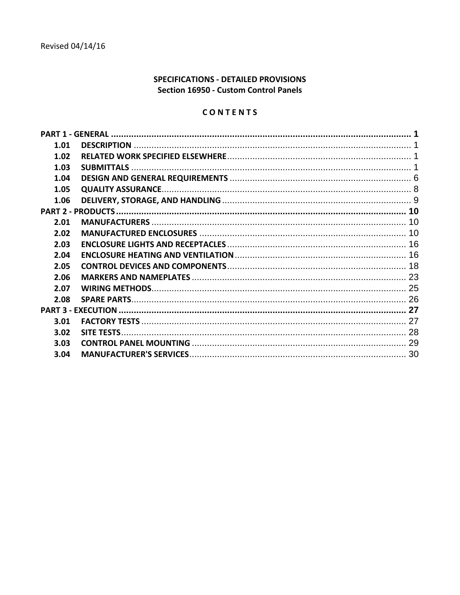# SPECIFICATIONS - DETAILED PROVISIONS Section 16950 - Custom Control Panels

# CONTENTS

| 1.01 |  |
|------|--|
| 1.02 |  |
| 1.03 |  |
| 1.04 |  |
| 1.05 |  |
| 1.06 |  |
|      |  |
| 2.01 |  |
| 2.02 |  |
| 2.03 |  |
| 2.04 |  |
| 2.05 |  |
| 2.06 |  |
| 2.07 |  |
| 2.08 |  |
|      |  |
| 3.01 |  |
| 3.02 |  |
| 3.03 |  |
| 3.04 |  |
|      |  |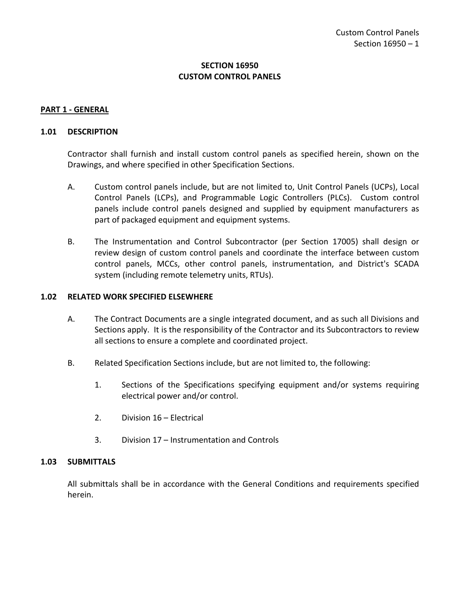## **SECTION 16950 CUSTOM CONTROL PANELS**

#### <span id="page-2-0"></span>**PART 1 - GENERAL**

#### <span id="page-2-1"></span>**1.01 DESCRIPTION**

Contractor shall furnish and install custom control panels as specified herein, shown on the Drawings, and where specified in other Specification Sections.

- A. Custom control panels include, but are not limited to, Unit Control Panels (UCPs), Local Control Panels (LCPs), and Programmable Logic Controllers (PLCs). Custom control panels include control panels designed and supplied by equipment manufacturers as part of packaged equipment and equipment systems.
- B. The Instrumentation and Control Subcontractor (per Section 17005) shall design or review design of custom control panels and coordinate the interface between custom control panels, MCCs, other control panels, instrumentation, and District's SCADA system (including remote telemetry units, RTUs).

#### <span id="page-2-2"></span>**1.02 RELATED WORK SPECIFIED ELSEWHERE**

- A. The Contract Documents are a single integrated document, and as such all Divisions and Sections apply. It is the responsibility of the Contractor and its Subcontractors to review all sections to ensure a complete and coordinated project.
- B. Related Specification Sections include, but are not limited to, the following:
	- 1. Sections of the Specifications specifying equipment and/or systems requiring electrical power and/or control.
	- 2. Division 16 Electrical
	- 3. Division 17 Instrumentation and Controls

#### <span id="page-2-3"></span>**1.03 SUBMITTALS**

All submittals shall be in accordance with the General Conditions and requirements specified herein.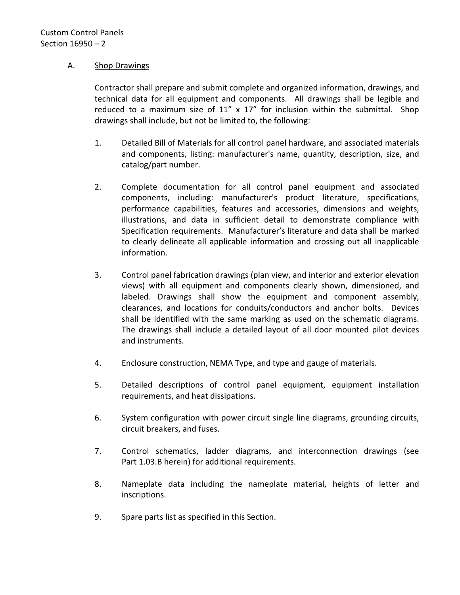## A. Shop Drawings

Contractor shall prepare and submit complete and organized information, drawings, and technical data for all equipment and components. All drawings shall be legible and reduced to a maximum size of  $11''$  x  $17''$  for inclusion within the submittal. Shop drawings shall include, but not be limited to, the following:

- 1. Detailed Bill of Materials for all control panel hardware, and associated materials and components, listing: manufacturer's name, quantity, description, size, and catalog/part number.
- 2. Complete documentation for all control panel equipment and associated components, including: manufacturer's product literature, specifications, performance capabilities, features and accessories, dimensions and weights, illustrations, and data in sufficient detail to demonstrate compliance with Specification requirements. Manufacturer's literature and data shall be marked to clearly delineate all applicable information and crossing out all inapplicable information.
- 3. Control panel fabrication drawings (plan view, and interior and exterior elevation views) with all equipment and components clearly shown, dimensioned, and labeled. Drawings shall show the equipment and component assembly, clearances, and locations for conduits/conductors and anchor bolts. Devices shall be identified with the same marking as used on the schematic diagrams. The drawings shall include a detailed layout of all door mounted pilot devices and instruments.
- 4. Enclosure construction, NEMA Type, and type and gauge of materials.
- 5. Detailed descriptions of control panel equipment, equipment installation requirements, and heat dissipations.
- 6. System configuration with power circuit single line diagrams, grounding circuits, circuit breakers, and fuses.
- 7. Control schematics, ladder diagrams, and interconnection drawings (see Part 1.03.B herein) for additional requirements.
- 8. Nameplate data including the nameplate material, heights of letter and inscriptions.
- 9. Spare parts list as specified in this Section.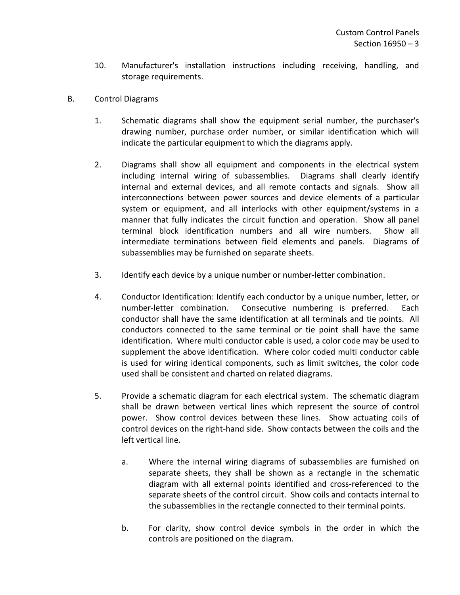10. Manufacturer's installation instructions including receiving, handling, and storage requirements.

# B. Control Diagrams

- 1. Schematic diagrams shall show the equipment serial number, the purchaser's drawing number, purchase order number, or similar identification which will indicate the particular equipment to which the diagrams apply.
- 2. Diagrams shall show all equipment and components in the electrical system including internal wiring of subassemblies. Diagrams shall clearly identify internal and external devices, and all remote contacts and signals. Show all interconnections between power sources and device elements of a particular system or equipment, and all interlocks with other equipment/systems in a manner that fully indicates the circuit function and operation. Show all panel terminal block identification numbers and all wire numbers. Show all intermediate terminations between field elements and panels. Diagrams of subassemblies may be furnished on separate sheets.
- 3. Identify each device by a unique number or number-letter combination.
- 4. Conductor Identification: Identify each conductor by a unique number, letter, or number-letter combination. Consecutive numbering is preferred. Each conductor shall have the same identification at all terminals and tie points. All conductors connected to the same terminal or tie point shall have the same identification. Where multi conductor cable is used, a color code may be used to supplement the above identification. Where color coded multi conductor cable is used for wiring identical components, such as limit switches, the color code used shall be consistent and charted on related diagrams.
- 5. Provide a schematic diagram for each electrical system. The schematic diagram shall be drawn between vertical lines which represent the source of control power. Show control devices between these lines. Show actuating coils of control devices on the right-hand side. Show contacts between the coils and the left vertical line.
	- a. Where the internal wiring diagrams of subassemblies are furnished on separate sheets, they shall be shown as a rectangle in the schematic diagram with all external points identified and cross-referenced to the separate sheets of the control circuit. Show coils and contacts internal to the subassemblies in the rectangle connected to their terminal points.
	- b. For clarity, show control device symbols in the order in which the controls are positioned on the diagram.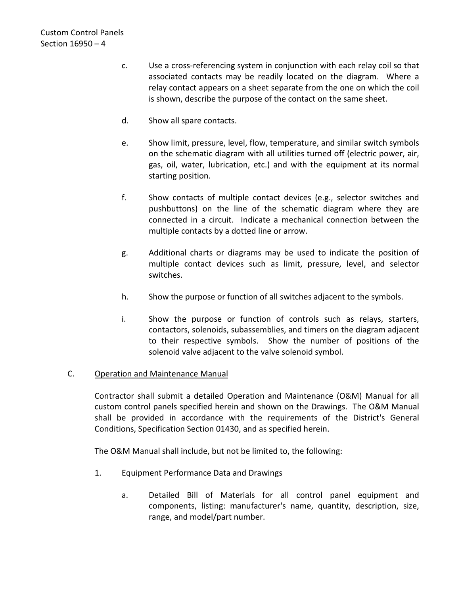- c. Use a cross-referencing system in conjunction with each relay coil so that associated contacts may be readily located on the diagram. Where a relay contact appears on a sheet separate from the one on which the coil is shown, describe the purpose of the contact on the same sheet.
- d. Show all spare contacts.
- e. Show limit, pressure, level, flow, temperature, and similar switch symbols on the schematic diagram with all utilities turned off (electric power, air, gas, oil, water, lubrication, etc.) and with the equipment at its normal starting position.
- f. Show contacts of multiple contact devices (e.g., selector switches and pushbuttons) on the line of the schematic diagram where they are connected in a circuit. Indicate a mechanical connection between the multiple contacts by a dotted line or arrow.
- g. Additional charts or diagrams may be used to indicate the position of multiple contact devices such as limit, pressure, level, and selector switches.
- h. Show the purpose or function of all switches adjacent to the symbols.
- i. Show the purpose or function of controls such as relays, starters, contactors, solenoids, subassemblies, and timers on the diagram adjacent to their respective symbols. Show the number of positions of the solenoid valve adjacent to the valve solenoid symbol.

# C. Operation and Maintenance Manual

Contractor shall submit a detailed Operation and Maintenance (O&M) Manual for all custom control panels specified herein and shown on the Drawings. The O&M Manual shall be provided in accordance with the requirements of the District's General Conditions, Specification Section 01430, and as specified herein.

The O&M Manual shall include, but not be limited to, the following:

- 1. Equipment Performance Data and Drawings
	- a. Detailed Bill of Materials for all control panel equipment and components, listing: manufacturer's name, quantity, description, size, range, and model/part number.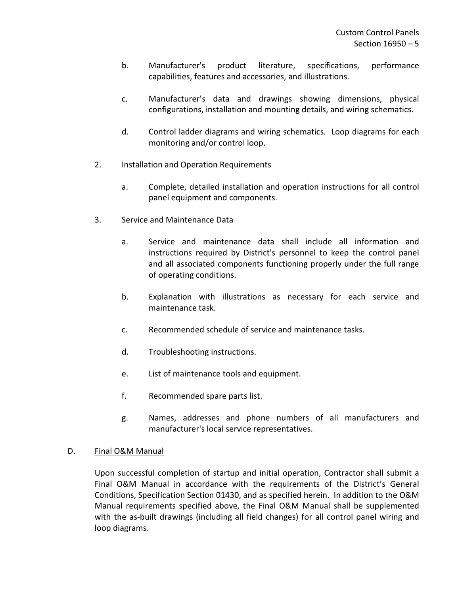- b. Manufacturer's product literature, specifications, performance capabilities, features and accessories, and illustrations.
- c. Manufacturer's data and drawings showing dimensions, physical configurations, installation and mounting details, and wiring schematics.
- d. Control ladder diagrams and wiring schematics. Loop diagrams for each monitoring and/or control loop.
- 2. Installation and Operation Requirements
	- a. Complete, detailed installation and operation instructions for all control panel equipment and components.
- 3. Service and Maintenance Data
	- a. Service and maintenance data shall include all information and instructions required by District's personnel to keep the control panel and all associated components functioning properly under the full range of operating conditions.
	- b. Explanation with illustrations as necessary for each service and maintenance task.
	- c. Recommended schedule of service and maintenance tasks.
	- d. Troubleshooting instructions.
	- e. List of maintenance tools and equipment.
	- f. Recommended spare parts list.
	- g. Names, addresses and phone numbers of all manufacturers and manufacturer's local service representatives.

## D. Final O&M Manual

Upon successful completion of startup and initial operation, Contractor shall submit a Final O&M Manual in accordance with the requirements of the District's General Conditions, Specification Section 01430, and as specified herein. In addition to the O&M Manual requirements specified above, the Final O&M Manual shall be supplemented with the as-built drawings (including all field changes) for all control panel wiring and loop diagrams.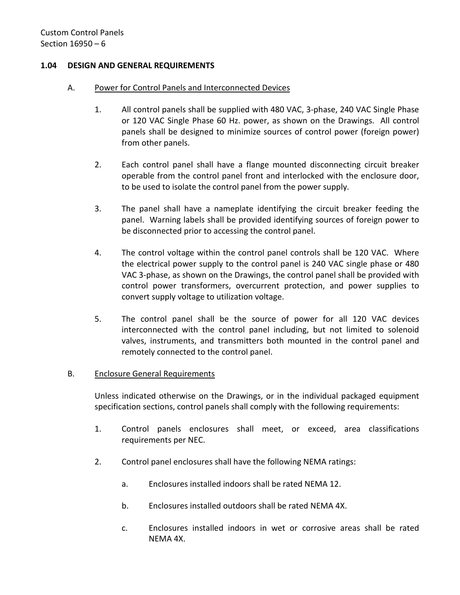## <span id="page-7-0"></span>**1.04 DESIGN AND GENERAL REQUIREMENTS**

#### A. Power for Control Panels and Interconnected Devices

- 1. All control panels shall be supplied with 480 VAC, 3-phase, 240 VAC Single Phase or 120 VAC Single Phase 60 Hz. power, as shown on the Drawings. All control panels shall be designed to minimize sources of control power (foreign power) from other panels.
- 2. Each control panel shall have a flange mounted disconnecting circuit breaker operable from the control panel front and interlocked with the enclosure door, to be used to isolate the control panel from the power supply.
- 3. The panel shall have a nameplate identifying the circuit breaker feeding the panel. Warning labels shall be provided identifying sources of foreign power to be disconnected prior to accessing the control panel.
- 4. The control voltage within the control panel controls shall be 120 VAC. Where the electrical power supply to the control panel is 240 VAC single phase or 480 VAC 3-phase, as shown on the Drawings, the control panel shall be provided with control power transformers, overcurrent protection, and power supplies to convert supply voltage to utilization voltage.
- 5. The control panel shall be the source of power for all 120 VAC devices interconnected with the control panel including, but not limited to solenoid valves, instruments, and transmitters both mounted in the control panel and remotely connected to the control panel.

## B. Enclosure General Requirements

Unless indicated otherwise on the Drawings, or in the individual packaged equipment specification sections, control panels shall comply with the following requirements:

- 1. Control panels enclosures shall meet, or exceed, area classifications requirements per NEC.
- 2. Control panel enclosures shall have the following NEMA ratings:
	- a. Enclosures installed indoors shall be rated NEMA 12.
	- b. Enclosures installed outdoors shall be rated NEMA 4X.
	- c. Enclosures installed indoors in wet or corrosive areas shall be rated NEMA 4X.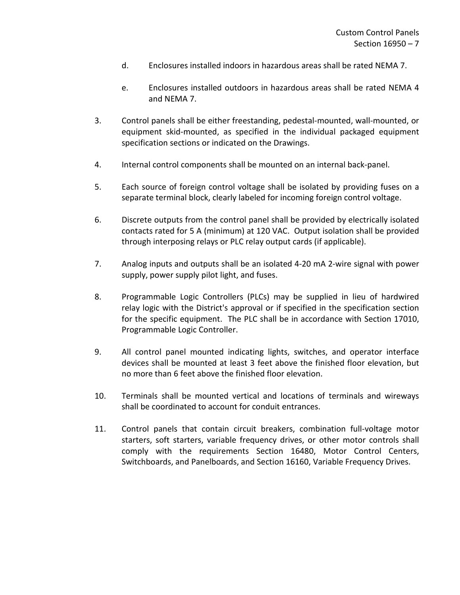- d. Enclosures installed indoors in hazardous areas shall be rated NEMA 7.
- e. Enclosures installed outdoors in hazardous areas shall be rated NEMA 4 and NEMA 7.
- 3. Control panels shall be either freestanding, pedestal-mounted, wall-mounted, or equipment skid-mounted, as specified in the individual packaged equipment specification sections or indicated on the Drawings.
- 4. Internal control components shall be mounted on an internal back-panel.
- 5. Each source of foreign control voltage shall be isolated by providing fuses on a separate terminal block, clearly labeled for incoming foreign control voltage.
- 6. Discrete outputs from the control panel shall be provided by electrically isolated contacts rated for 5 A (minimum) at 120 VAC. Output isolation shall be provided through interposing relays or PLC relay output cards (if applicable).
- 7. Analog inputs and outputs shall be an isolated 4-20 mA 2-wire signal with power supply, power supply pilot light, and fuses.
- 8. Programmable Logic Controllers (PLCs) may be supplied in lieu of hardwired relay logic with the District's approval or if specified in the specification section for the specific equipment. The PLC shall be in accordance with Section 17010, Programmable Logic Controller.
- 9. All control panel mounted indicating lights, switches, and operator interface devices shall be mounted at least 3 feet above the finished floor elevation, but no more than 6 feet above the finished floor elevation.
- 10. Terminals shall be mounted vertical and locations of terminals and wireways shall be coordinated to account for conduit entrances.
- 11. Control panels that contain circuit breakers, combination full-voltage motor starters, soft starters, variable frequency drives, or other motor controls shall comply with the requirements Section 16480, Motor Control Centers, Switchboards, and Panelboards, and Section 16160, Variable Frequency Drives.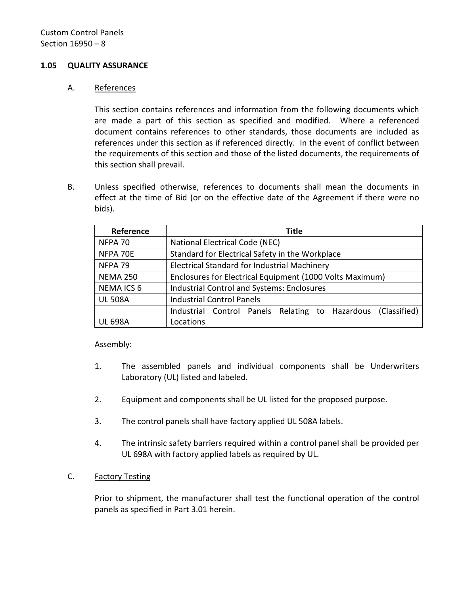#### <span id="page-9-0"></span>**1.05 QUALITY ASSURANCE**

#### A. References

This section contains references and information from the following documents which are made a part of this section as specified and modified. Where a referenced document contains references to other standards, those documents are included as references under this section as if referenced directly. In the event of conflict between the requirements of this section and those of the listed documents, the requirements of this section shall prevail.

B. Unless specified otherwise, references to documents shall mean the documents in effect at the time of Bid (or on the effective date of the Agreement if there were no bids).

| Reference          | <b>Title</b>                                                 |
|--------------------|--------------------------------------------------------------|
| NFPA 70            | National Electrical Code (NEC)                               |
| NFPA 70E           | Standard for Electrical Safety in the Workplace              |
| NFPA <sub>79</sub> | Electrical Standard for Industrial Machinery                 |
| <b>NEMA 250</b>    | Enclosures for Electrical Equipment (1000 Volts Maximum)     |
| <b>NEMAICS 6</b>   | Industrial Control and Systems: Enclosures                   |
| <b>UL 508A</b>     | <b>Industrial Control Panels</b>                             |
|                    | Industrial Control Panels Relating to Hazardous (Classified) |
| UL 698A            | Locations                                                    |

#### Assembly:

- 1. The assembled panels and individual components shall be Underwriters Laboratory (UL) listed and labeled.
- 2. Equipment and components shall be UL listed for the proposed purpose.
- 3. The control panels shall have factory applied UL 508A labels.
- 4. The intrinsic safety barriers required within a control panel shall be provided per UL 698A with factory applied labels as required by UL.

#### C. Factory Testing

Prior to shipment, the manufacturer shall test the functional operation of the control panels as specified in Part 3.01 herein.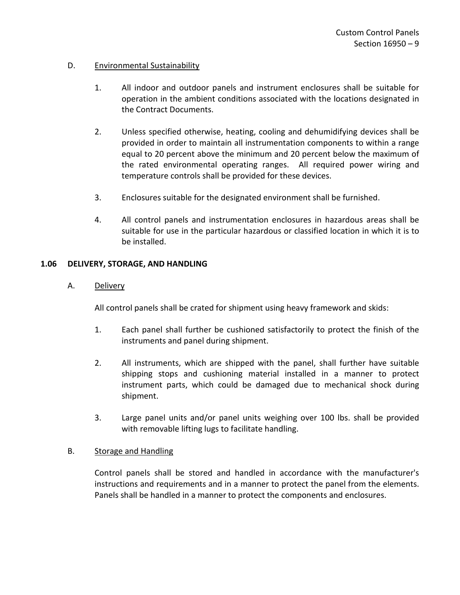## D. Environmental Sustainability

- 1. All indoor and outdoor panels and instrument enclosures shall be suitable for operation in the ambient conditions associated with the locations designated in the Contract Documents.
- 2. Unless specified otherwise, heating, cooling and dehumidifying devices shall be provided in order to maintain all instrumentation components to within a range equal to 20 percent above the minimum and 20 percent below the maximum of the rated environmental operating ranges. All required power wiring and temperature controls shall be provided for these devices.
- 3. Enclosures suitable for the designated environment shall be furnished.
- 4. All control panels and instrumentation enclosures in hazardous areas shall be suitable for use in the particular hazardous or classified location in which it is to be installed.

## <span id="page-10-0"></span>**1.06 DELIVERY, STORAGE, AND HANDLING**

## A. Delivery

All control panels shall be crated for shipment using heavy framework and skids:

- 1. Each panel shall further be cushioned satisfactorily to protect the finish of the instruments and panel during shipment.
- 2. All instruments, which are shipped with the panel, shall further have suitable shipping stops and cushioning material installed in a manner to protect instrument parts, which could be damaged due to mechanical shock during shipment.
- 3. Large panel units and/or panel units weighing over 100 lbs. shall be provided with removable lifting lugs to facilitate handling.

# B. Storage and Handling

Control panels shall be stored and handled in accordance with the manufacturer's instructions and requirements and in a manner to protect the panel from the elements. Panels shall be handled in a manner to protect the components and enclosures.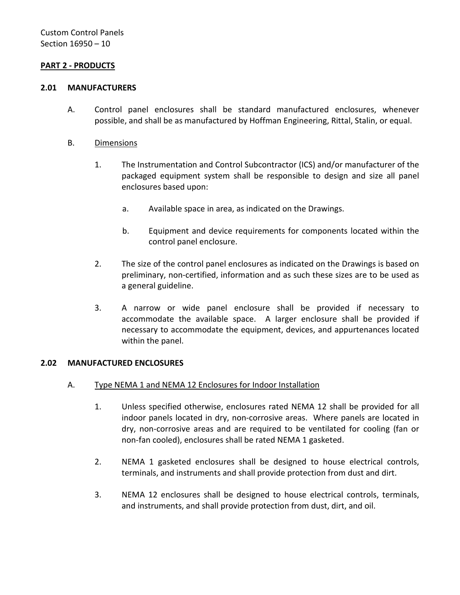## <span id="page-11-0"></span>**PART 2 - PRODUCTS**

#### <span id="page-11-1"></span>**2.01 MANUFACTURERS**

- A. Control panel enclosures shall be standard manufactured enclosures, whenever possible, and shall be as manufactured by Hoffman Engineering, Rittal, Stalin, or equal.
- B. Dimensions
	- 1. The Instrumentation and Control Subcontractor (ICS) and/or manufacturer of the packaged equipment system shall be responsible to design and size all panel enclosures based upon:
		- a. Available space in area, as indicated on the Drawings.
		- b. Equipment and device requirements for components located within the control panel enclosure.
	- 2. The size of the control panel enclosures as indicated on the Drawings is based on preliminary, non-certified, information and as such these sizes are to be used as a general guideline.
	- 3. A narrow or wide panel enclosure shall be provided if necessary to accommodate the available space. A larger enclosure shall be provided if necessary to accommodate the equipment, devices, and appurtenances located within the panel.

#### <span id="page-11-2"></span>**2.02 MANUFACTURED ENCLOSURES**

- A. Type NEMA 1 and NEMA 12 Enclosures for Indoor Installation
	- 1. Unless specified otherwise, enclosures rated NEMA 12 shall be provided for all indoor panels located in dry, non-corrosive areas. Where panels are located in dry, non-corrosive areas and are required to be ventilated for cooling (fan or non-fan cooled), enclosures shall be rated NEMA 1 gasketed.
	- 2. NEMA 1 gasketed enclosures shall be designed to house electrical controls, terminals, and instruments and shall provide protection from dust and dirt.
	- 3. NEMA 12 enclosures shall be designed to house electrical controls, terminals, and instruments, and shall provide protection from dust, dirt, and oil.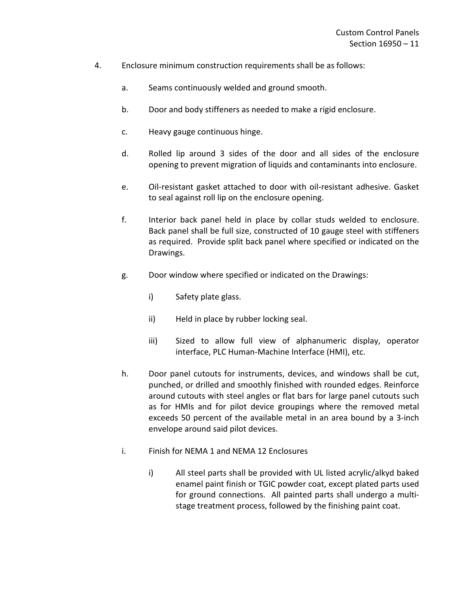- 4. Enclosure minimum construction requirements shall be as follows:
	- a. Seams continuously welded and ground smooth.
	- b. Door and body stiffeners as needed to make a rigid enclosure.
	- c. Heavy gauge continuous hinge.
	- d. Rolled lip around 3 sides of the door and all sides of the enclosure opening to prevent migration of liquids and contaminants into enclosure.
	- e. Oil-resistant gasket attached to door with oil-resistant adhesive. Gasket to seal against roll lip on the enclosure opening.
	- f. Interior back panel held in place by collar studs welded to enclosure. Back panel shall be full size, constructed of 10 gauge steel with stiffeners as required. Provide split back panel where specified or indicated on the Drawings.
	- g. Door window where specified or indicated on the Drawings:
		- i) Safety plate glass.
		- ii) Held in place by rubber locking seal.
		- iii) Sized to allow full view of alphanumeric display, operator interface, PLC Human-Machine Interface (HMI), etc.
	- h. Door panel cutouts for instruments, devices, and windows shall be cut, punched, or drilled and smoothly finished with rounded edges. Reinforce around cutouts with steel angles or flat bars for large panel cutouts such as for HMIs and for pilot device groupings where the removed metal exceeds 50 percent of the available metal in an area bound by a 3-inch envelope around said pilot devices.
	- i. Finish for NEMA 1 and NEMA 12 Enclosures
		- i) All steel parts shall be provided with UL listed acrylic/alkyd baked enamel paint finish or TGIC powder coat, except plated parts used for ground connections. All painted parts shall undergo a multistage treatment process, followed by the finishing paint coat.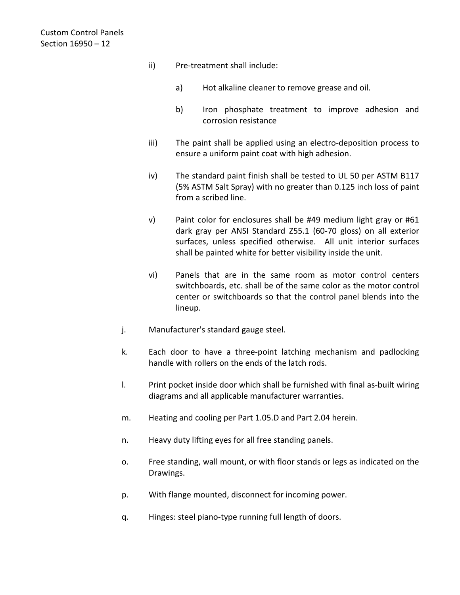- ii) Pre-treatment shall include:
	- a) Hot alkaline cleaner to remove grease and oil.
	- b) Iron phosphate treatment to improve adhesion and corrosion resistance
- iii) The paint shall be applied using an electro-deposition process to ensure a uniform paint coat with high adhesion.
- iv) The standard paint finish shall be tested to UL 50 per ASTM B117 (5% ASTM Salt Spray) with no greater than 0.125 inch loss of paint from a scribed line.
- v) Paint color for enclosures shall be #49 medium light gray or #61 dark gray per ANSI Standard Z55.1 (60-70 gloss) on all exterior surfaces, unless specified otherwise. All unit interior surfaces shall be painted white for better visibility inside the unit.
- vi) Panels that are in the same room as motor control centers switchboards, etc. shall be of the same color as the motor control center or switchboards so that the control panel blends into the lineup.
- j. Manufacturer's standard gauge steel.
- k. Each door to have a three-point latching mechanism and padlocking handle with rollers on the ends of the latch rods.
- l. Print pocket inside door which shall be furnished with final as-built wiring diagrams and all applicable manufacturer warranties.
- m. Heating and cooling per Part 1.05.D and Part 2.04 herein.
- n. Heavy duty lifting eyes for all free standing panels.
- o. Free standing, wall mount, or with floor stands or legs as indicated on the Drawings.
- p. With flange mounted, disconnect for incoming power.
- q. Hinges: steel piano-type running full length of doors.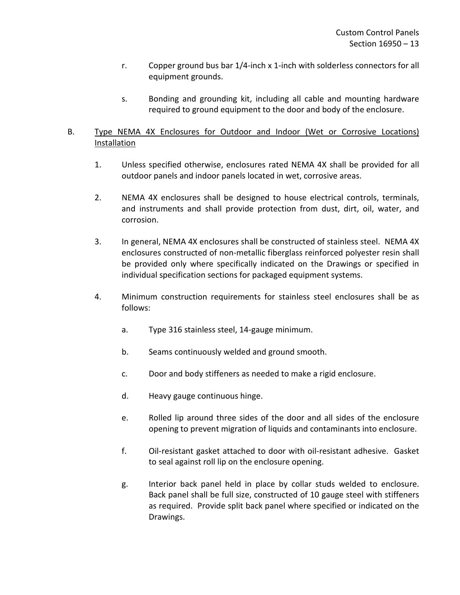- r. Copper ground bus bar 1/4-inch x 1-inch with solderless connectors for all equipment grounds.
- s. Bonding and grounding kit, including all cable and mounting hardware required to ground equipment to the door and body of the enclosure.

# B. Type NEMA 4X Enclosures for Outdoor and Indoor (Wet or Corrosive Locations) Installation

- 1. Unless specified otherwise, enclosures rated NEMA 4X shall be provided for all outdoor panels and indoor panels located in wet, corrosive areas.
- 2. NEMA 4X enclosures shall be designed to house electrical controls, terminals, and instruments and shall provide protection from dust, dirt, oil, water, and corrosion.
- 3. In general, NEMA 4X enclosures shall be constructed of stainless steel. NEMA 4X enclosures constructed of non-metallic fiberglass reinforced polyester resin shall be provided only where specifically indicated on the Drawings or specified in individual specification sections for packaged equipment systems.
- 4. Minimum construction requirements for stainless steel enclosures shall be as follows:
	- a. Type 316 stainless steel, 14-gauge minimum.
	- b. Seams continuously welded and ground smooth.
	- c. Door and body stiffeners as needed to make a rigid enclosure.
	- d. Heavy gauge continuous hinge.
	- e. Rolled lip around three sides of the door and all sides of the enclosure opening to prevent migration of liquids and contaminants into enclosure.
	- f. Oil-resistant gasket attached to door with oil-resistant adhesive. Gasket to seal against roll lip on the enclosure opening.
	- g. Interior back panel held in place by collar studs welded to enclosure. Back panel shall be full size, constructed of 10 gauge steel with stiffeners as required. Provide split back panel where specified or indicated on the Drawings.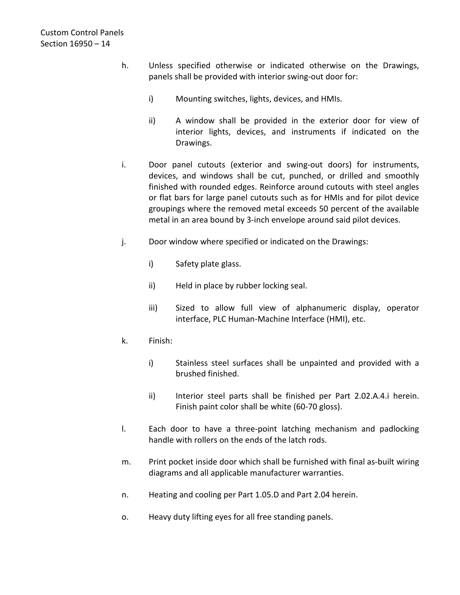- h. Unless specified otherwise or indicated otherwise on the Drawings, panels shall be provided with interior swing-out door for:
	- i) Mounting switches, lights, devices, and HMIs.
	- ii) A window shall be provided in the exterior door for view of interior lights, devices, and instruments if indicated on the Drawings.
- i. Door panel cutouts (exterior and swing-out doors) for instruments, devices, and windows shall be cut, punched, or drilled and smoothly finished with rounded edges. Reinforce around cutouts with steel angles or flat bars for large panel cutouts such as for HMIs and for pilot device groupings where the removed metal exceeds 50 percent of the available metal in an area bound by 3-inch envelope around said pilot devices.
- j. Door window where specified or indicated on the Drawings:
	- i) Safety plate glass.
	- ii) Held in place by rubber locking seal.
	- iii) Sized to allow full view of alphanumeric display, operator interface, PLC Human-Machine Interface (HMI), etc.
- k. Finish:
	- i) Stainless steel surfaces shall be unpainted and provided with a brushed finished.
	- ii) Interior steel parts shall be finished per Part 2.02.A.4.i herein. Finish paint color shall be white (60-70 gloss).
- l. Each door to have a three-point latching mechanism and padlocking handle with rollers on the ends of the latch rods.
- m. Print pocket inside door which shall be furnished with final as-built wiring diagrams and all applicable manufacturer warranties.
- n. Heating and cooling per Part 1.05.D and Part 2.04 herein.
- o. Heavy duty lifting eyes for all free standing panels.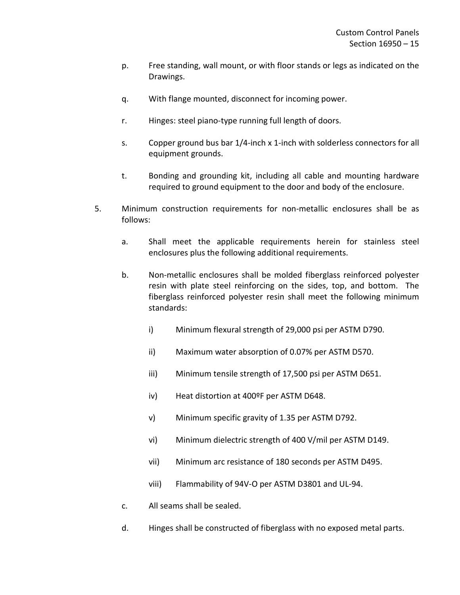- p. Free standing, wall mount, or with floor stands or legs as indicated on the Drawings.
- q. With flange mounted, disconnect for incoming power.
- r. Hinges: steel piano-type running full length of doors.
- s. Copper ground bus bar 1/4-inch x 1-inch with solderless connectors for all equipment grounds.
- t. Bonding and grounding kit, including all cable and mounting hardware required to ground equipment to the door and body of the enclosure.
- 5. Minimum construction requirements for non-metallic enclosures shall be as follows:
	- a. Shall meet the applicable requirements herein for stainless steel enclosures plus the following additional requirements.
	- b. Non-metallic enclosures shall be molded fiberglass reinforced polyester resin with plate steel reinforcing on the sides, top, and bottom. The fiberglass reinforced polyester resin shall meet the following minimum standards:
		- i) Minimum flexural strength of 29,000 psi per ASTM D790.
		- ii) Maximum water absorption of 0.07% per ASTM D570.
		- iii) Minimum tensile strength of 17,500 psi per ASTM D651.
		- iv) Heat distortion at 400ºF per ASTM D648.
		- v) Minimum specific gravity of 1.35 per ASTM D792.
		- vi) Minimum dielectric strength of 400 V/mil per ASTM D149.
		- vii) Minimum arc resistance of 180 seconds per ASTM D495.
		- viii) Flammability of 94V-O per ASTM D3801 and UL-94.
	- c. All seams shall be sealed.
	- d. Hinges shall be constructed of fiberglass with no exposed metal parts.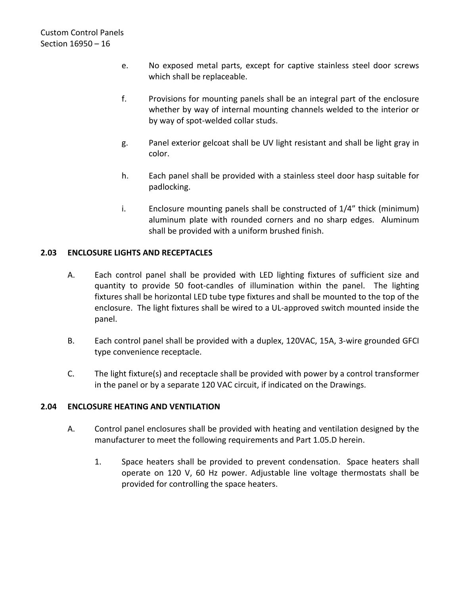- e. No exposed metal parts, except for captive stainless steel door screws which shall be replaceable.
- f. Provisions for mounting panels shall be an integral part of the enclosure whether by way of internal mounting channels welded to the interior or by way of spot-welded collar studs.
- g. Panel exterior gelcoat shall be UV light resistant and shall be light gray in color.
- h. Each panel shall be provided with a stainless steel door hasp suitable for padlocking.
- i. Enclosure mounting panels shall be constructed of 1/4" thick (minimum) aluminum plate with rounded corners and no sharp edges. Aluminum shall be provided with a uniform brushed finish.

## <span id="page-17-0"></span>**2.03 ENCLOSURE LIGHTS AND RECEPTACLES**

- A. Each control panel shall be provided with LED lighting fixtures of sufficient size and quantity to provide 50 foot-candles of illumination within the panel. The lighting fixtures shall be horizontal LED tube type fixtures and shall be mounted to the top of the enclosure. The light fixtures shall be wired to a UL-approved switch mounted inside the panel.
- B. Each control panel shall be provided with a duplex, 120VAC, 15A, 3-wire grounded GFCI type convenience receptacle.
- C. The light fixture(s) and receptacle shall be provided with power by a control transformer in the panel or by a separate 120 VAC circuit, if indicated on the Drawings.

# <span id="page-17-1"></span>**2.04 ENCLOSURE HEATING AND VENTILATION**

- A. Control panel enclosures shall be provided with heating and ventilation designed by the manufacturer to meet the following requirements and Part 1.05.D herein.
	- 1. Space heaters shall be provided to prevent condensation. Space heaters shall operate on 120 V, 60 Hz power. Adjustable line voltage thermostats shall be provided for controlling the space heaters.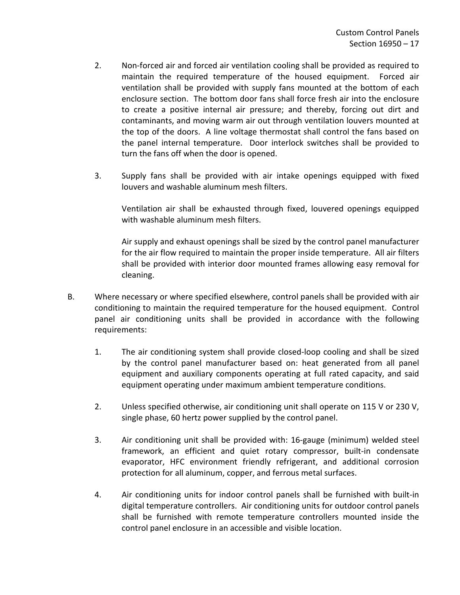- 2. Non-forced air and forced air ventilation cooling shall be provided as required to maintain the required temperature of the housed equipment. Forced air ventilation shall be provided with supply fans mounted at the bottom of each enclosure section. The bottom door fans shall force fresh air into the enclosure to create a positive internal air pressure; and thereby, forcing out dirt and contaminants, and moving warm air out through ventilation louvers mounted at the top of the doors. A line voltage thermostat shall control the fans based on the panel internal temperature. Door interlock switches shall be provided to turn the fans off when the door is opened.
- 3. Supply fans shall be provided with air intake openings equipped with fixed louvers and washable aluminum mesh filters.

Ventilation air shall be exhausted through fixed, louvered openings equipped with washable aluminum mesh filters.

Air supply and exhaust openings shall be sized by the control panel manufacturer for the air flow required to maintain the proper inside temperature. All air filters shall be provided with interior door mounted frames allowing easy removal for cleaning.

- B. Where necessary or where specified elsewhere, control panels shall be provided with air conditioning to maintain the required temperature for the housed equipment. Control panel air conditioning units shall be provided in accordance with the following requirements:
	- 1. The air conditioning system shall provide closed-loop cooling and shall be sized by the control panel manufacturer based on: heat generated from all panel equipment and auxiliary components operating at full rated capacity, and said equipment operating under maximum ambient temperature conditions.
	- 2. Unless specified otherwise, air conditioning unit shall operate on 115 V or 230 V, single phase, 60 hertz power supplied by the control panel.
	- 3. Air conditioning unit shall be provided with: 16-gauge (minimum) welded steel framework, an efficient and quiet rotary compressor, built-in condensate evaporator, HFC environment friendly refrigerant, and additional corrosion protection for all aluminum, copper, and ferrous metal surfaces.
	- 4. Air conditioning units for indoor control panels shall be furnished with built-in digital temperature controllers. Air conditioning units for outdoor control panels shall be furnished with remote temperature controllers mounted inside the control panel enclosure in an accessible and visible location.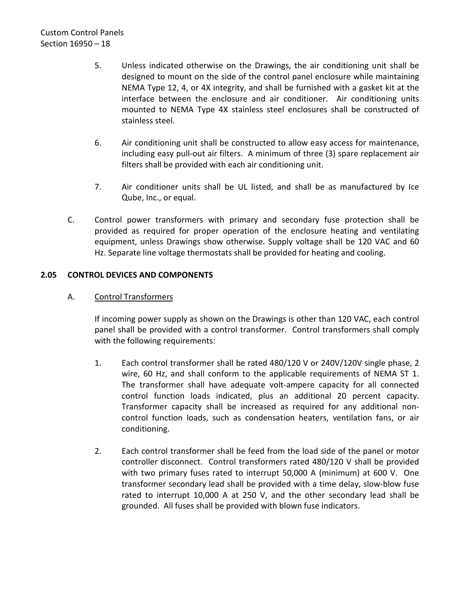- 5. Unless indicated otherwise on the Drawings, the air conditioning unit shall be designed to mount on the side of the control panel enclosure while maintaining NEMA Type 12, 4, or 4X integrity, and shall be furnished with a gasket kit at the interface between the enclosure and air conditioner. Air conditioning units mounted to NEMA Type 4X stainless steel enclosures shall be constructed of stainless steel.
- 6. Air conditioning unit shall be constructed to allow easy access for maintenance, including easy pull-out air filters. A minimum of three (3) spare replacement air filters shall be provided with each air conditioning unit.
- 7. Air conditioner units shall be UL listed, and shall be as manufactured by Ice Qube, Inc., or equal.
- C. Control power transformers with primary and secondary fuse protection shall be provided as required for proper operation of the enclosure heating and ventilating equipment, unless Drawings show otherwise. Supply voltage shall be 120 VAC and 60 Hz. Separate line voltage thermostats shall be provided for heating and cooling.

## <span id="page-19-0"></span>**2.05 CONTROL DEVICES AND COMPONENTS**

## A. Control Transformers

If incoming power supply as shown on the Drawings is other than 120 VAC, each control panel shall be provided with a control transformer. Control transformers shall comply with the following requirements:

- 1. Each control transformer shall be rated 480/120 V or 240V/120V single phase, 2 wire, 60 Hz, and shall conform to the applicable requirements of NEMA ST 1. The transformer shall have adequate volt-ampere capacity for all connected control function loads indicated, plus an additional 20 percent capacity. Transformer capacity shall be increased as required for any additional noncontrol function loads, such as condensation heaters, ventilation fans, or air conditioning.
- 2. Each control transformer shall be feed from the load side of the panel or motor controller disconnect. Control transformers rated 480/120 V shall be provided with two primary fuses rated to interrupt 50,000 A (minimum) at 600 V. One transformer secondary lead shall be provided with a time delay, slow-blow fuse rated to interrupt 10,000 A at 250 V, and the other secondary lead shall be grounded. All fuses shall be provided with blown fuse indicators.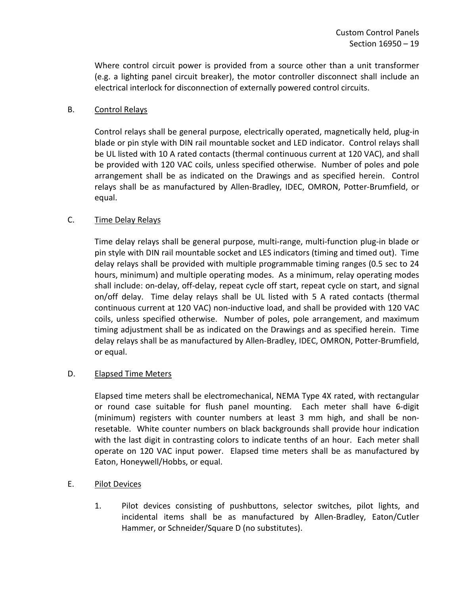Where control circuit power is provided from a source other than a unit transformer (e.g. a lighting panel circuit breaker), the motor controller disconnect shall include an electrical interlock for disconnection of externally powered control circuits.

# B. Control Relays

Control relays shall be general purpose, electrically operated, magnetically held, plug-in blade or pin style with DIN rail mountable socket and LED indicator. Control relays shall be UL listed with 10 A rated contacts (thermal continuous current at 120 VAC), and shall be provided with 120 VAC coils, unless specified otherwise. Number of poles and pole arrangement shall be as indicated on the Drawings and as specified herein. Control relays shall be as manufactured by Allen-Bradley, IDEC, OMRON, Potter-Brumfield, or equal.

## C. Time Delay Relays

Time delay relays shall be general purpose, multi-range, multi-function plug-in blade or pin style with DIN rail mountable socket and LES indicators (timing and timed out). Time delay relays shall be provided with multiple programmable timing ranges (0.5 sec to 24 hours, minimum) and multiple operating modes. As a minimum, relay operating modes shall include: on-delay, off-delay, repeat cycle off start, repeat cycle on start, and signal on/off delay. Time delay relays shall be UL listed with 5 A rated contacts (thermal continuous current at 120 VAC) non-inductive load, and shall be provided with 120 VAC coils, unless specified otherwise. Number of poles, pole arrangement, and maximum timing adjustment shall be as indicated on the Drawings and as specified herein. Time delay relays shall be as manufactured by Allen-Bradley, IDEC, OMRON, Potter-Brumfield, or equal.

## D. Elapsed Time Meters

Elapsed time meters shall be electromechanical, NEMA Type 4X rated, with rectangular or round case suitable for flush panel mounting. Each meter shall have 6-digit (minimum) registers with counter numbers at least 3 mm high, and shall be nonresetable. White counter numbers on black backgrounds shall provide hour indication with the last digit in contrasting colors to indicate tenths of an hour. Each meter shall operate on 120 VAC input power. Elapsed time meters shall be as manufactured by Eaton, Honeywell/Hobbs, or equal.

## E. Pilot Devices

1. Pilot devices consisting of pushbuttons, selector switches, pilot lights, and incidental items shall be as manufactured by Allen-Bradley, Eaton/Cutler Hammer, or Schneider/Square D (no substitutes).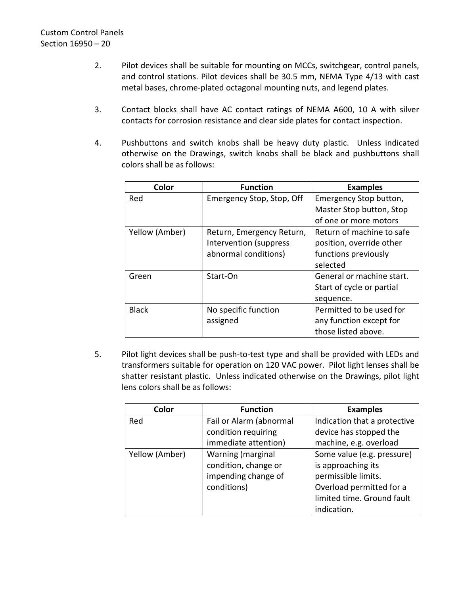- 2. Pilot devices shall be suitable for mounting on MCCs, switchgear, control panels, and control stations. Pilot devices shall be 30.5 mm, NEMA Type 4/13 with cast metal bases, chrome-plated octagonal mounting nuts, and legend plates.
- 3. Contact blocks shall have AC contact ratings of NEMA A600, 10 A with silver contacts for corrosion resistance and clear side plates for contact inspection.
- 4. Pushbuttons and switch knobs shall be heavy duty plastic. Unless indicated otherwise on the Drawings, switch knobs shall be black and pushbuttons shall colors shall be as follows:

| Color          | <b>Function</b>           | <b>Examples</b>           |
|----------------|---------------------------|---------------------------|
| Red            | Emergency Stop, Stop, Off | Emergency Stop button,    |
|                |                           | Master Stop button, Stop  |
|                |                           | of one or more motors     |
| Yellow (Amber) | Return, Emergency Return, | Return of machine to safe |
|                | Intervention (suppress    | position, override other  |
|                | abnormal conditions)      | functions previously      |
|                |                           | selected                  |
| Green          | Start-On                  | General or machine start. |
|                |                           | Start of cycle or partial |
|                |                           | sequence.                 |
| <b>Black</b>   | No specific function      | Permitted to be used for  |
|                | assigned                  | any function except for   |
|                |                           | those listed above.       |

5. Pilot light devices shall be push-to-test type and shall be provided with LEDs and transformers suitable for operation on 120 VAC power. Pilot light lenses shall be shatter resistant plastic. Unless indicated otherwise on the Drawings, pilot light lens colors shall be as follows:

| Color          | <b>Function</b>         | <b>Examples</b>              |
|----------------|-------------------------|------------------------------|
| Red            | Fail or Alarm (abnormal | Indication that a protective |
|                | condition requiring     | device has stopped the       |
|                | immediate attention)    | machine, e.g. overload       |
| Yellow (Amber) | Warning (marginal       | Some value (e.g. pressure)   |
|                | condition, change or    | is approaching its           |
|                | impending change of     | permissible limits.          |
|                | conditions)             | Overload permitted for a     |
|                |                         | limited time. Ground fault   |
|                |                         | indication.                  |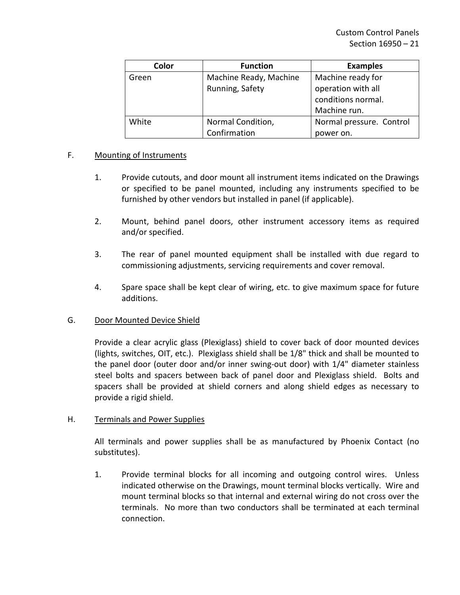| Color | <b>Function</b>        | <b>Examples</b>          |
|-------|------------------------|--------------------------|
| Green | Machine Ready, Machine | Machine ready for        |
|       | Running, Safety        | operation with all       |
|       |                        | conditions normal.       |
|       |                        | Machine run.             |
| White | Normal Condition,      | Normal pressure. Control |
|       | Confirmation           | power on.                |

## F. Mounting of Instruments

- 1. Provide cutouts, and door mount all instrument items indicated on the Drawings or specified to be panel mounted, including any instruments specified to be furnished by other vendors but installed in panel (if applicable).
- 2. Mount, behind panel doors, other instrument accessory items as required and/or specified.
- 3. The rear of panel mounted equipment shall be installed with due regard to commissioning adjustments, servicing requirements and cover removal.
- 4. Spare space shall be kept clear of wiring, etc. to give maximum space for future additions.

## G. Door Mounted Device Shield

Provide a clear acrylic glass (Plexiglass) shield to cover back of door mounted devices (lights, switches, OIT, etc.). Plexiglass shield shall be 1/8" thick and shall be mounted to the panel door (outer door and/or inner swing-out door) with 1/4" diameter stainless steel bolts and spacers between back of panel door and Plexiglass shield. Bolts and spacers shall be provided at shield corners and along shield edges as necessary to provide a rigid shield.

## H. Terminals and Power Supplies

All terminals and power supplies shall be as manufactured by Phoenix Contact (no substitutes).

1. Provide terminal blocks for all incoming and outgoing control wires. Unless indicated otherwise on the Drawings, mount terminal blocks vertically. Wire and mount terminal blocks so that internal and external wiring do not cross over the terminals. No more than two conductors shall be terminated at each terminal connection.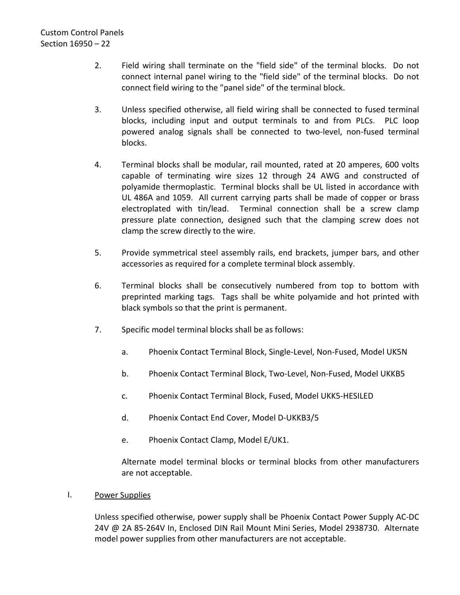- 2. Field wiring shall terminate on the "field side" of the terminal blocks. Do not connect internal panel wiring to the "field side" of the terminal blocks. Do not connect field wiring to the "panel side" of the terminal block.
- 3. Unless specified otherwise, all field wiring shall be connected to fused terminal blocks, including input and output terminals to and from PLCs. PLC loop powered analog signals shall be connected to two-level, non-fused terminal blocks.
- 4. Terminal blocks shall be modular, rail mounted, rated at 20 amperes, 600 volts capable of terminating wire sizes 12 through 24 AWG and constructed of polyamide thermoplastic. Terminal blocks shall be UL listed in accordance with UL 486A and 1059. All current carrying parts shall be made of copper or brass electroplated with tin/lead. Terminal connection shall be a screw clamp pressure plate connection, designed such that the clamping screw does not clamp the screw directly to the wire.
- 5. Provide symmetrical steel assembly rails, end brackets, jumper bars, and other accessories as required for a complete terminal block assembly.
- 6. Terminal blocks shall be consecutively numbered from top to bottom with preprinted marking tags. Tags shall be white polyamide and hot printed with black symbols so that the print is permanent.
- 7. Specific model terminal blocks shall be as follows:
	- a. Phoenix Contact Terminal Block, Single-Level, Non-Fused, Model UK5N
	- b. Phoenix Contact Terminal Block, Two-Level, Non-Fused, Model UKKB5
	- c. Phoenix Contact Terminal Block, Fused, Model UKK5-HESILED
	- d. Phoenix Contact End Cover, Model D-UKKB3/5
	- e. Phoenix Contact Clamp, Model E/UK1.

Alternate model terminal blocks or terminal blocks from other manufacturers are not acceptable.

I. Power Supplies

Unless specified otherwise, power supply shall be Phoenix Contact Power Supply AC-DC 24V @ 2A 85-264V In, Enclosed DIN Rail Mount Mini Series, Model 2938730. Alternate model power supplies from other manufacturers are not acceptable.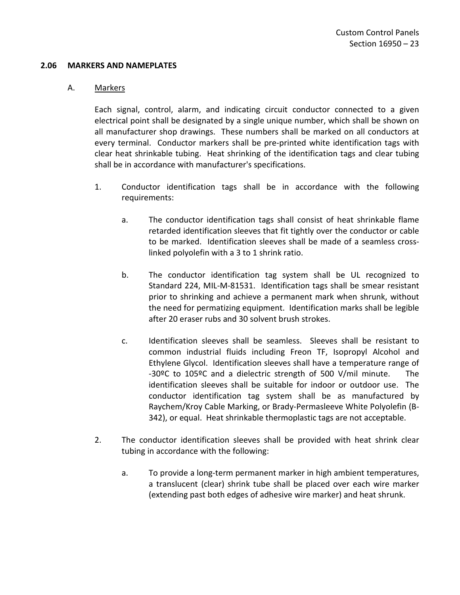#### <span id="page-24-0"></span>**2.06 MARKERS AND NAMEPLATES**

#### A. Markers

Each signal, control, alarm, and indicating circuit conductor connected to a given electrical point shall be designated by a single unique number, which shall be shown on all manufacturer shop drawings. These numbers shall be marked on all conductors at every terminal. Conductor markers shall be pre-printed white identification tags with clear heat shrinkable tubing. Heat shrinking of the identification tags and clear tubing shall be in accordance with manufacturer's specifications.

- 1. Conductor identification tags shall be in accordance with the following requirements:
	- a. The conductor identification tags shall consist of heat shrinkable flame retarded identification sleeves that fit tightly over the conductor or cable to be marked. Identification sleeves shall be made of a seamless crosslinked polyolefin with a 3 to 1 shrink ratio.
	- b. The conductor identification tag system shall be UL recognized to Standard 224, MIL-M-81531. Identification tags shall be smear resistant prior to shrinking and achieve a permanent mark when shrunk, without the need for permatizing equipment. Identification marks shall be legible after 20 eraser rubs and 30 solvent brush strokes.
	- c. Identification sleeves shall be seamless. Sleeves shall be resistant to common industrial fluids including Freon TF, Isopropyl Alcohol and Ethylene Glycol. Identification sleeves shall have a temperature range of -30ºC to 105ºC and a dielectric strength of 500 V/mil minute. The identification sleeves shall be suitable for indoor or outdoor use. The conductor identification tag system shall be as manufactured by Raychem/Kroy Cable Marking, or Brady-Permasleeve White Polyolefin (B-342), or equal. Heat shrinkable thermoplastic tags are not acceptable.
- 2. The conductor identification sleeves shall be provided with heat shrink clear tubing in accordance with the following:
	- a. To provide a long-term permanent marker in high ambient temperatures, a translucent (clear) shrink tube shall be placed over each wire marker (extending past both edges of adhesive wire marker) and heat shrunk.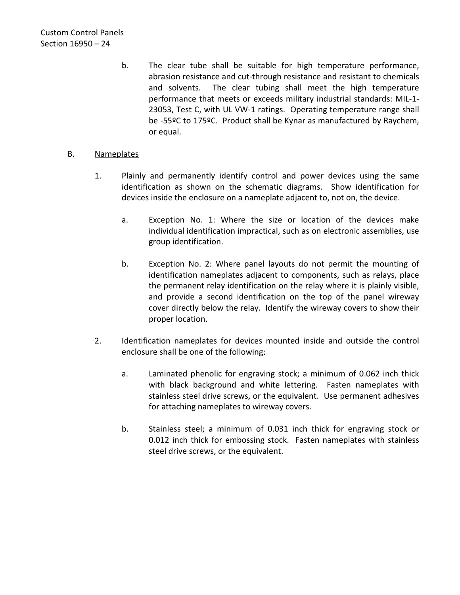b. The clear tube shall be suitable for high temperature performance, abrasion resistance and cut-through resistance and resistant to chemicals and solvents. The clear tubing shall meet the high temperature performance that meets or exceeds military industrial standards: MIL-1- 23053, Test C, with UL VW-1 ratings. Operating temperature range shall be -55ºC to 175ºC. Product shall be Kynar as manufactured by Raychem, or equal.

# B. Nameplates

- 1. Plainly and permanently identify control and power devices using the same identification as shown on the schematic diagrams. Show identification for devices inside the enclosure on a nameplate adjacent to, not on, the device.
	- a. Exception No. 1: Where the size or location of the devices make individual identification impractical, such as on electronic assemblies, use group identification.
	- b. Exception No. 2: Where panel layouts do not permit the mounting of identification nameplates adjacent to components, such as relays, place the permanent relay identification on the relay where it is plainly visible, and provide a second identification on the top of the panel wireway cover directly below the relay. Identify the wireway covers to show their proper location.
- 2. Identification nameplates for devices mounted inside and outside the control enclosure shall be one of the following:
	- a. Laminated phenolic for engraving stock; a minimum of 0.062 inch thick with black background and white lettering. Fasten nameplates with stainless steel drive screws, or the equivalent. Use permanent adhesives for attaching nameplates to wireway covers.
	- b. Stainless steel; a minimum of 0.031 inch thick for engraving stock or 0.012 inch thick for embossing stock. Fasten nameplates with stainless steel drive screws, or the equivalent.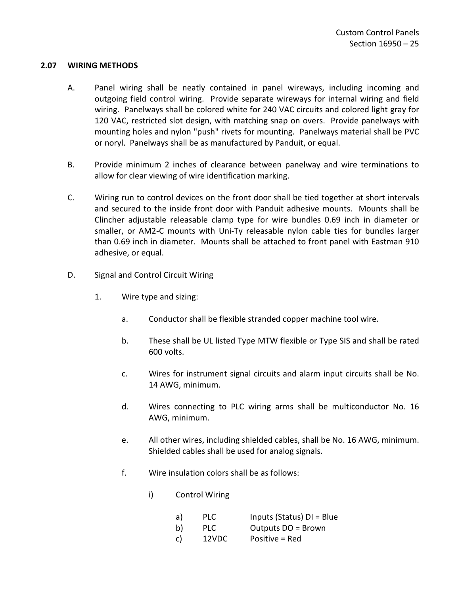## <span id="page-26-0"></span>**2.07 WIRING METHODS**

- A. Panel wiring shall be neatly contained in panel wireways, including incoming and outgoing field control wiring. Provide separate wireways for internal wiring and field wiring. Panelways shall be colored white for 240 VAC circuits and colored light gray for 120 VAC, restricted slot design, with matching snap on overs. Provide panelways with mounting holes and nylon "push" rivets for mounting. Panelways material shall be PVC or noryl. Panelways shall be as manufactured by Panduit, or equal.
- B. Provide minimum 2 inches of clearance between panelway and wire terminations to allow for clear viewing of wire identification marking.
- C. Wiring run to control devices on the front door shall be tied together at short intervals and secured to the inside front door with Panduit adhesive mounts. Mounts shall be Clincher adjustable releasable clamp type for wire bundles 0.69 inch in diameter or smaller, or AM2-C mounts with Uni-Ty releasable nylon cable ties for bundles larger than 0.69 inch in diameter. Mounts shall be attached to front panel with Eastman 910 adhesive, or equal.

## D. Signal and Control Circuit Wiring

- 1. Wire type and sizing:
	- a. Conductor shall be flexible stranded copper machine tool wire.
	- b. These shall be UL listed Type MTW flexible or Type SIS and shall be rated 600 volts.
	- c. Wires for instrument signal circuits and alarm input circuits shall be No. 14 AWG, minimum.
	- d. Wires connecting to PLC wiring arms shall be multiconductor No. 16 AWG, minimum.
	- e. All other wires, including shielded cables, shall be No. 16 AWG, minimum. Shielded cables shall be used for analog signals.
	- f. Wire insulation colors shall be as follows:
		- i) Control Wiring

| a) | <b>PLC</b> | Inputs (Status) $DI = Blue$ |
|----|------------|-----------------------------|
| b) | <b>PLC</b> | Outputs DO = Brown          |
| C) | 12VDC      | Positive = Red              |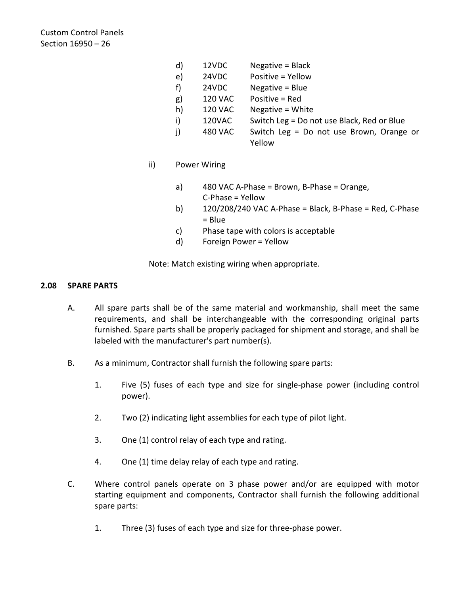Custom Control Panels Section 16950 – 26

- d) 12VDC Negative = Black
- e) 24VDC Positive = Yellow
- f) 24VDC Negative = Blue
- g) 120 VAC Positive = Red
- h) 120 VAC Negative = White
- i) 120VAC Switch Leg = Do not use Black, Red or Blue
- j) 480 VAC Switch Leg = Do not use Brown, Orange or Yellow
- ii) Power Wiring
	- a) 480 VAC A-Phase = Brown, B-Phase = Orange, C-Phase = Yellow
	- b)  $120/208/240$  VAC A-Phase = Black, B-Phase = Red, C-Phase = Blue
	- c) Phase tape with colors is acceptable
	- d) Foreign Power = Yellow

Note: Match existing wiring when appropriate.

## <span id="page-27-0"></span>**2.08 SPARE PARTS**

- A. All spare parts shall be of the same material and workmanship, shall meet the same requirements, and shall be interchangeable with the corresponding original parts furnished. Spare parts shall be properly packaged for shipment and storage, and shall be labeled with the manufacturer's part number(s).
- B. As a minimum, Contractor shall furnish the following spare parts:
	- 1. Five (5) fuses of each type and size for single-phase power (including control power).
	- 2. Two (2) indicating light assemblies for each type of pilot light.
	- 3. One (1) control relay of each type and rating.
	- 4. One (1) time delay relay of each type and rating.
- C. Where control panels operate on 3 phase power and/or are equipped with motor starting equipment and components, Contractor shall furnish the following additional spare parts:
	- 1. Three (3) fuses of each type and size for three-phase power.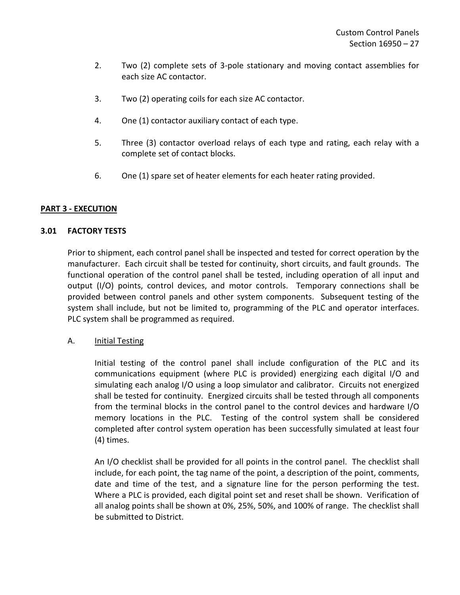- 2. Two (2) complete sets of 3-pole stationary and moving contact assemblies for each size AC contactor.
- 3. Two (2) operating coils for each size AC contactor.
- 4. One (1) contactor auxiliary contact of each type.
- 5. Three (3) contactor overload relays of each type and rating, each relay with a complete set of contact blocks.
- 6. One (1) spare set of heater elements for each heater rating provided.

## <span id="page-28-0"></span>**PART 3 - EXECUTION**

## <span id="page-28-1"></span>**3.01 FACTORY TESTS**

Prior to shipment, each control panel shall be inspected and tested for correct operation by the manufacturer. Each circuit shall be tested for continuity, short circuits, and fault grounds. The functional operation of the control panel shall be tested, including operation of all input and output (I/O) points, control devices, and motor controls. Temporary connections shall be provided between control panels and other system components. Subsequent testing of the system shall include, but not be limited to, programming of the PLC and operator interfaces. PLC system shall be programmed as required.

## A. **Initial Testing**

Initial testing of the control panel shall include configuration of the PLC and its communications equipment (where PLC is provided) energizing each digital I/O and simulating each analog I/O using a loop simulator and calibrator. Circuits not energized shall be tested for continuity. Energized circuits shall be tested through all components from the terminal blocks in the control panel to the control devices and hardware I/O memory locations in the PLC. Testing of the control system shall be considered completed after control system operation has been successfully simulated at least four (4) times.

An I/O checklist shall be provided for all points in the control panel. The checklist shall include, for each point, the tag name of the point, a description of the point, comments, date and time of the test, and a signature line for the person performing the test. Where a PLC is provided, each digital point set and reset shall be shown. Verification of all analog points shall be shown at 0%, 25%, 50%, and 100% of range. The checklist shall be submitted to District.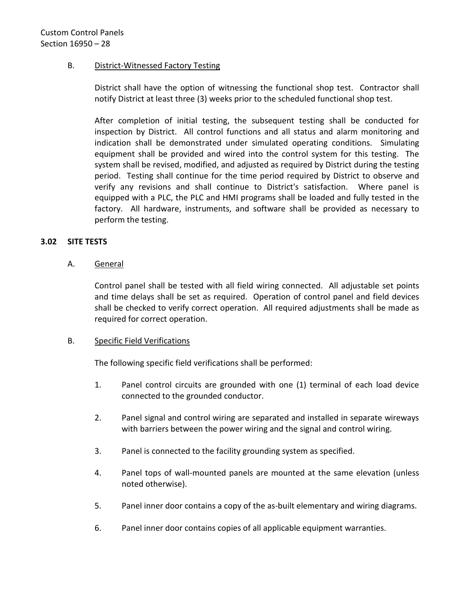# B. District-Witnessed Factory Testing

District shall have the option of witnessing the functional shop test. Contractor shall notify District at least three (3) weeks prior to the scheduled functional shop test.

After completion of initial testing, the subsequent testing shall be conducted for inspection by District. All control functions and all status and alarm monitoring and indication shall be demonstrated under simulated operating conditions. Simulating equipment shall be provided and wired into the control system for this testing. The system shall be revised, modified, and adjusted as required by District during the testing period. Testing shall continue for the time period required by District to observe and verify any revisions and shall continue to District's satisfaction. Where panel is equipped with a PLC, the PLC and HMI programs shall be loaded and fully tested in the factory. All hardware, instruments, and software shall be provided as necessary to perform the testing.

## <span id="page-29-0"></span>**3.02 SITE TESTS**

## A. General

Control panel shall be tested with all field wiring connected. All adjustable set points and time delays shall be set as required. Operation of control panel and field devices shall be checked to verify correct operation. All required adjustments shall be made as required for correct operation.

## B. Specific Field Verifications

The following specific field verifications shall be performed:

- 1. Panel control circuits are grounded with one (1) terminal of each load device connected to the grounded conductor.
- 2. Panel signal and control wiring are separated and installed in separate wireways with barriers between the power wiring and the signal and control wiring.
- 3. Panel is connected to the facility grounding system as specified.
- 4. Panel tops of wall-mounted panels are mounted at the same elevation (unless noted otherwise).
- 5. Panel inner door contains a copy of the as-built elementary and wiring diagrams.
- 6. Panel inner door contains copies of all applicable equipment warranties.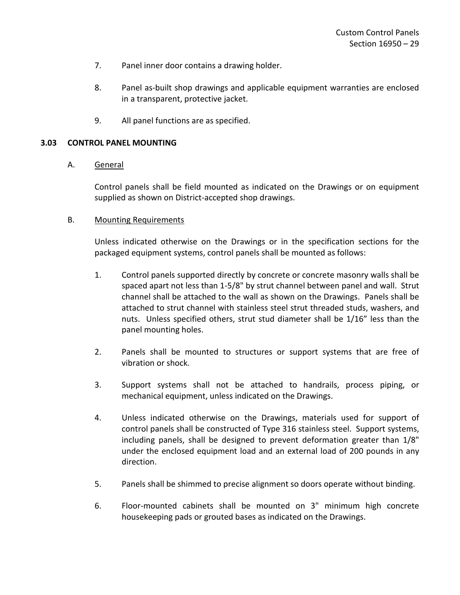- 7. Panel inner door contains a drawing holder.
- 8. Panel as-built shop drawings and applicable equipment warranties are enclosed in a transparent, protective jacket.
- 9. All panel functions are as specified.

#### <span id="page-30-0"></span>**3.03 CONTROL PANEL MOUNTING**

#### A. General

Control panels shall be field mounted as indicated on the Drawings or on equipment supplied as shown on District-accepted shop drawings.

#### B. Mounting Requirements

Unless indicated otherwise on the Drawings or in the specification sections for the packaged equipment systems, control panels shall be mounted as follows:

- 1. Control panels supported directly by concrete or concrete masonry walls shall be spaced apart not less than 1-5/8" by strut channel between panel and wall. Strut channel shall be attached to the wall as shown on the Drawings. Panels shall be attached to strut channel with stainless steel strut threaded studs, washers, and nuts. Unless specified others, strut stud diameter shall be 1/16" less than the panel mounting holes.
- 2. Panels shall be mounted to structures or support systems that are free of vibration or shock.
- 3. Support systems shall not be attached to handrails, process piping, or mechanical equipment, unless indicated on the Drawings.
- 4. Unless indicated otherwise on the Drawings, materials used for support of control panels shall be constructed of Type 316 stainless steel. Support systems, including panels, shall be designed to prevent deformation greater than 1/8" under the enclosed equipment load and an external load of 200 pounds in any direction.
- 5. Panels shall be shimmed to precise alignment so doors operate without binding.
- 6. Floor-mounted cabinets shall be mounted on 3" minimum high concrete housekeeping pads or grouted bases as indicated on the Drawings.